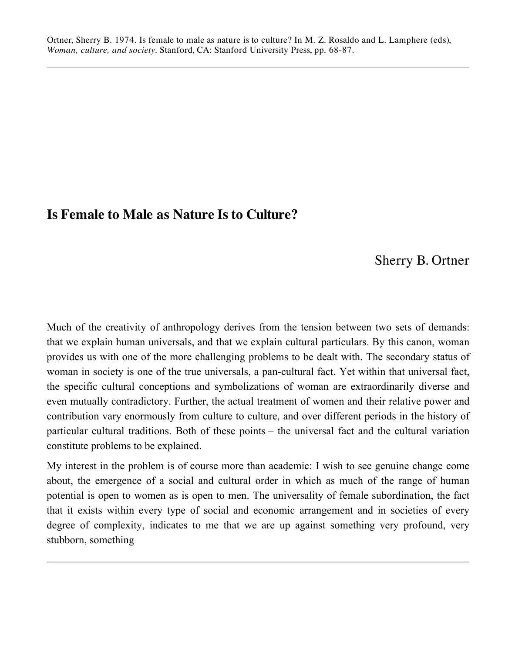# Sherry B. Ortner

Much of the creativity of anthropology derives from the tension between two sets of demands: that we explain human universals, and that we explain cultural particulars. By this canon, woman provides us with one of the more challenging problems to be dealt with. The secondary status of woman in society is one of the true universals, a pan-cultural fact. Yet within that universal fact, the specific cultural conceptions and symbolizations of woman are extraordinarily diverse and even mutually contradictory. Further, the actual treatment of women and their relative power and contribution vary enormously from culture to culture, and over different periods in the history of particular cultural traditions. Both of these points – the universal fact and the cultural variation constitute problems to be explained.

My interest in the problem is of course more than academic: I wish to see genuine change come about, the emergence of a social and cultural order in which as much of the range of human potential is open to women as is open to men. The universality of female subordination, the fact that it exists within every type of social and economic arrangement and in societies of every degree of complexity, indicates to me that we are up against something very profound, very stubborn, something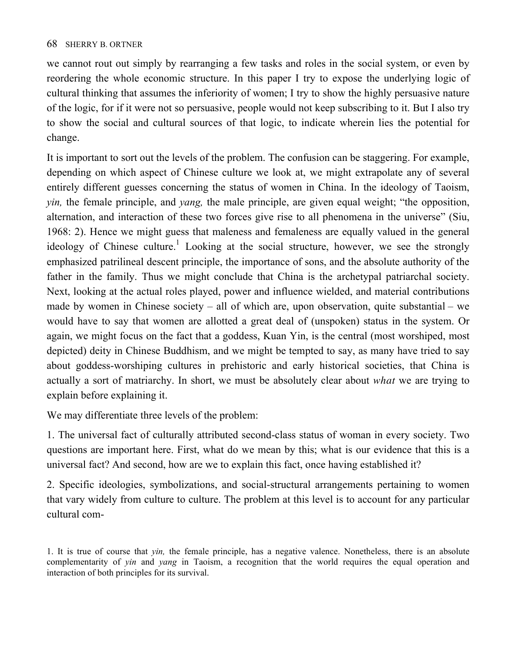we cannot rout out simply by rearranging a few tasks and roles in the social system, or even by reordering the whole economic structure. In this paper I try to expose the underlying logic of cultural thinking that assumes the inferiority of women; I try to show the highly persuasive nature of the logic, for if it were not so persuasive, people would not keep subscribing to it. But I also try to show the social and cultural sources of that logic, to indicate wherein lies the potential for change.

It is important to sort out the levels of the problem. The confusion can be staggering. For example, depending on which aspect of Chinese culture we look at, we might extrapolate any of several entirely different guesses concerning the status of women in China. In the ideology of Taoism, *yin,* the female principle, and *yang,* the male principle, are given equal weight; "the opposition, alternation, and interaction of these two forces give rise to all phenomena in the universe" (Siu, 1968: 2). Hence we might guess that maleness and femaleness are equally valued in the general ideology of Chinese culture.<sup>1</sup> Looking at the social structure, however, we see the strongly emphasized patrilineal descent principle, the importance of sons, and the absolute authority of the father in the family. Thus we might conclude that China is the archetypal patriarchal society. Next, looking at the actual roles played, power and influence wielded, and material contributions made by women in Chinese society – all of which are, upon observation, quite substantial – we would have to say that women are allotted a great deal of (unspoken) status in the system. Or again, we might focus on the fact that a goddess, Kuan Yin, is the central (most worshiped, most depicted) deity in Chinese Buddhism, and we might be tempted to say, as many have tried to say about goddess-worshiping cultures in prehistoric and early historical societies, that China is actually a sort of matriarchy. In short, we must be absolutely clear about *what* we are trying to explain before explaining it.

We may differentiate three levels of the problem:

1. The universal fact of culturally attributed second-class status of woman in every society. Two questions are important here. First, what do we mean by this; what is our evidence that this is a universal fact? And second, how are we to explain this fact, once having established it?

2. Specific ideologies, symbolizations, and social-structural arrangements pertaining to women that vary widely from culture to culture. The problem at this level is to account for any particular cultural com-

<sup>1.</sup> It is true of course that *yin,* the female principle, has a negative valence. Nonetheless, there is an absolute complementarity of *yin* and *yang* in Taoism, a recognition that the world requires the equal operation and interaction of both principles for its survival.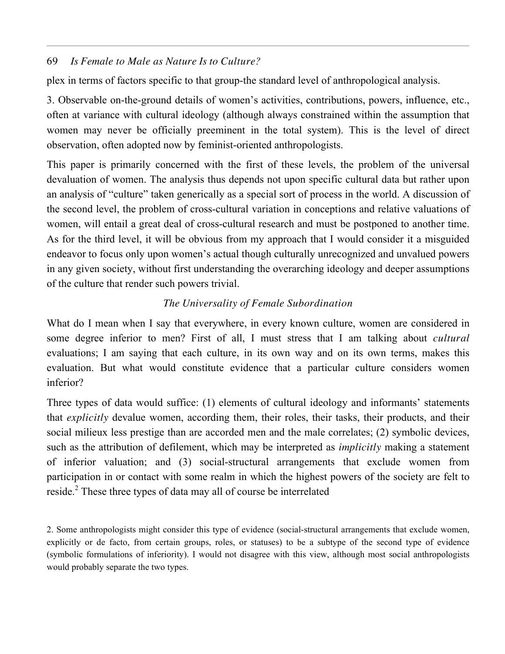plex in terms of factors specific to that group-the standard level of anthropological analysis.

3. Observable on-the-ground details of women's activities, contributions, powers, influence, etc., often at variance with cultural ideology (although always constrained within the assumption that women may never be officially preeminent in the total system). This is the level of direct observation, often adopted now by feminist-oriented anthropologists.

This paper is primarily concerned with the first of these levels, the problem of the universal devaluation of women. The analysis thus depends not upon specific cultural data but rather upon an analysis of "culture" taken generically as a special sort of process in the world. A discussion of the second level, the problem of cross-cultural variation in conceptions and relative valuations of women, will entail a great deal of cross-cultural research and must be postponed to another time. As for the third level, it will be obvious from my approach that I would consider it a misguided endeavor to focus only upon women's actual though culturally unrecognized and unvalued powers in any given society, without first understanding the overarching ideology and deeper assumptions of the culture that render such powers trivial.

# *The Universality of Female Subordination*

What do I mean when I say that everywhere, in every known culture, women are considered in some degree inferior to men? First of all, I must stress that I am talking about *cultural* evaluations; I am saying that each culture, in its own way and on its own terms, makes this evaluation. But what would constitute evidence that a particular culture considers women inferior?

Three types of data would suffice: (1) elements of cultural ideology and informants' statements that *explicitly* devalue women, according them, their roles, their tasks, their products, and their social milieux less prestige than are accorded men and the male correlates; (2) symbolic devices, such as the attribution of defilement, which may be interpreted as *implicitly* making a statement of inferior valuation; and (3) social-structural arrangements that exclude women from participation in or contact with some realm in which the highest powers of the society are felt to reside.<sup>2</sup> These three types of data may all of course be interrelated

2. Some anthropologists might consider this type of evidence (social-structural arrangements that exclude women, explicitly or de facto, from certain groups, roles, or statuses) to be a subtype of the second type of evidence (symbolic formulations of inferiority). I would not disagree with this view, although most social anthropologists would probably separate the two types.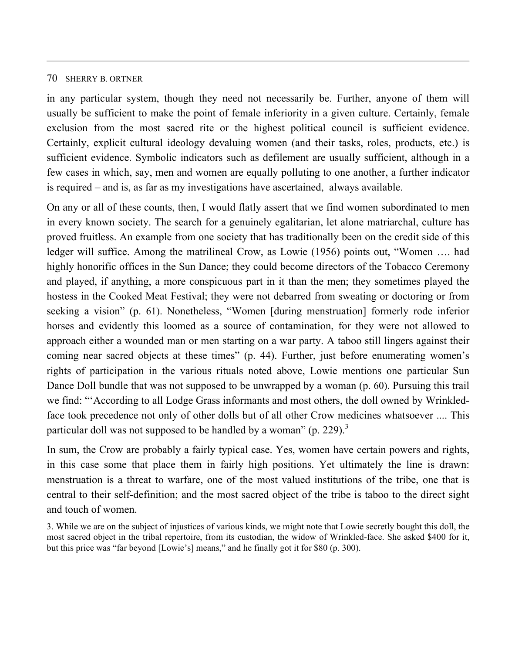in any particular system, though they need not necessarily be. Further, anyone of them will usually be sufficient to make the point of female inferiority in a given culture. Certainly, female exclusion from the most sacred rite or the highest political council is sufficient evidence. Certainly, explicit cultural ideology devaluing women (and their tasks, roles, products, etc.) is sufficient evidence. Symbolic indicators such as defilement are usually sufficient, although in a few cases in which, say, men and women are equally polluting to one another, a further indicator is required – and is, as far as my investigations have ascertained, always available.

On any or all of these counts, then, I would flatly assert that we find women subordinated to men in every known society. The search for a genuinely egalitarian, let alone matriarchal, culture has proved fruitless. An example from one society that has traditionally been on the credit side of this ledger will suffice. Among the matrilineal Crow, as Lowie (1956) points out, "Women …. had highly honorific offices in the Sun Dance; they could become directors of the Tobacco Ceremony and played, if anything, a more conspicuous part in it than the men; they sometimes played the hostess in the Cooked Meat Festival; they were not debarred from sweating or doctoring or from seeking a vision" (p. 61). Nonetheless, "Women [during menstruation] formerly rode inferior horses and evidently this loomed as a source of contamination, for they were not allowed to approach either a wounded man or men starting on a war party. A taboo still lingers against their coming near sacred objects at these times" (p. 44). Further, just before enumerating women's rights of participation in the various rituals noted above, Lowie mentions one particular Sun Dance Doll bundle that was not supposed to be unwrapped by a woman (p. 60). Pursuing this trail we find: "'According to all Lodge Grass informants and most others, the doll owned by Wrinkledface took precedence not only of other dolls but of all other Crow medicines whatsoever .... This particular doll was not supposed to be handled by a woman"  $(p. 229)$ .<sup>3</sup>

In sum, the Crow are probably a fairly typical case. Yes, women have certain powers and rights, in this case some that place them in fairly high positions. Yet ultimately the line is drawn: menstruation is a threat to warfare, one of the most valued institutions of the tribe, one that is central to their self-definition; and the most sacred object of the tribe is taboo to the direct sight and touch of women.

3. While we are on the subject of injustices of various kinds, we might note that Lowie secretly bought this doll, the most sacred object in the tribal repertoire, from its custodian, the widow of Wrinkled-face. She asked \$400 for it, but this price was "far beyond [Lowie's] means," and he finally got it for \$80 (p. 300).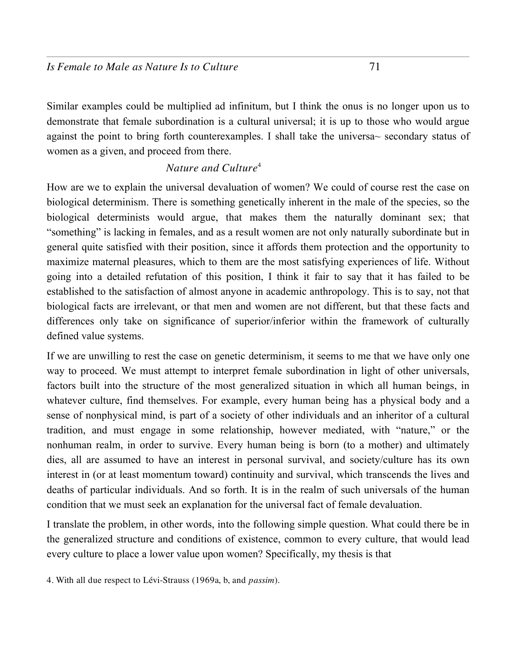Similar examples could be multiplied ad infinitum, but I think the onus is no longer upon us to demonstrate that female subordination is a cultural universal; it is up to those who would argue against the point to bring forth counterexamples. I shall take the universa~ secondary status of women as a given, and proceed from there.

# *Nature and Culture*<sup>4</sup>

How are we to explain the universal devaluation of women? We could of course rest the case on biological determinism. There is something genetically inherent in the male of the species, so the biological determinists would argue, that makes them the naturally dominant sex; that "something" is lacking in females, and as a result women are not only naturally subordinate but in general quite satisfied with their position, since it affords them protection and the opportunity to maximize maternal pleasures, which to them are the most satisfying experiences of life. Without going into a detailed refutation of this position, I think it fair to say that it has failed to be established to the satisfaction of almost anyone in academic anthropology. This is to say, not that biological facts are irrelevant, or that men and women are not different, but that these facts and differences only take on significance of superior/inferior within the framework of culturally defined value systems.

If we are unwilling to rest the case on genetic determinism, it seems to me that we have only one way to proceed. We must attempt to interpret female subordination in light of other universals, factors built into the structure of the most generalized situation in which all human beings, in whatever culture, find themselves. For example, every human being has a physical body and a sense of nonphysical mind, is part of a society of other individuals and an inheritor of a cultural tradition, and must engage in some relationship, however mediated, with "nature," or the nonhuman realm, in order to survive. Every human being is born (to a mother) and ultimately dies, all are assumed to have an interest in personal survival, and society/culture has its own interest in (or at least momentum toward) continuity and survival, which transcends the lives and deaths of particular individuals. And so forth. It is in the realm of such universals of the human condition that we must seek an explanation for the universal fact of female devaluation.

I translate the problem, in other words, into the following simple question. What could there be in the generalized structure and conditions of existence, common to every culture, that would lead every culture to place a lower value upon women? Specifically, my thesis is that

<sup>4.</sup> With all due respect to Lévi-Strauss (1969a, b, and *passim*)*.*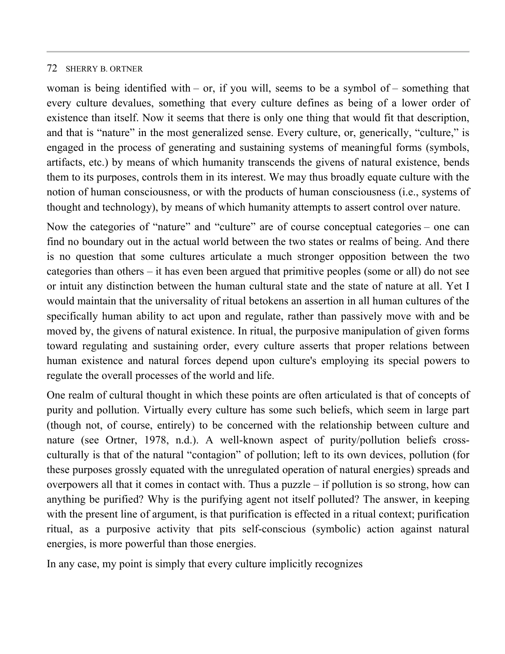woman is being identified with – or, if you will, seems to be a symbol of – something that every culture devalues, something that every culture defines as being of a lower order of existence than itself. Now it seems that there is only one thing that would fit that description, and that is "nature" in the most generalized sense. Every culture, or, generically, "culture," is engaged in the process of generating and sustaining systems of meaningful forms (symbols, artifacts, etc.) by means of which humanity transcends the givens of natural existence, bends them to its purposes, controls them in its interest. We may thus broadly equate culture with the notion of human consciousness, or with the products of human consciousness (i.e., systems of thought and technology), by means of which humanity attempts to assert control over nature.

Now the categories of "nature" and "culture" are of course conceptual categories – one can find no boundary out in the actual world between the two states or realms of being. And there is no question that some cultures articulate a much stronger opposition between the two categories than others – it has even been argued that primitive peoples (some or all) do not see or intuit any distinction between the human cultural state and the state of nature at all. Yet I would maintain that the universality of ritual betokens an assertion in all human cultures of the specifically human ability to act upon and regulate, rather than passively move with and be moved by, the givens of natural existence. In ritual, the purposive manipulation of given forms toward regulating and sustaining order, every culture asserts that proper relations between human existence and natural forces depend upon culture's employing its special powers to regulate the overall processes of the world and life.

One realm of cultural thought in which these points are often articulated is that of concepts of purity and pollution. Virtually every culture has some such beliefs, which seem in large part (though not, of course, entirely) to be concerned with the relationship between culture and nature (see Ortner, 1978, n.d.). A well-known aspect of purity/pollution beliefs crossculturally is that of the natural "contagion" of pollution; left to its own devices, pollution (for these purposes grossly equated with the unregulated operation of natural energies) spreads and overpowers all that it comes in contact with. Thus a puzzle – if pollution is so strong, how can anything be purified? Why is the purifying agent not itself polluted? The answer, in keeping with the present line of argument, is that purification is effected in a ritual context; purification ritual, as a purposive activity that pits self-conscious (symbolic) action against natural energies, is more powerful than those energies.

In any case, my point is simply that every culture implicitly recognizes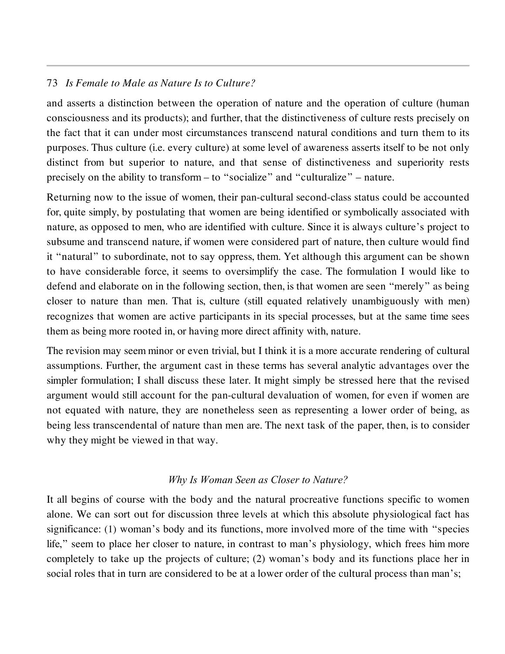and asserts a distinction between the operation of nature and the operation of culture (human consciousness and its products); and further, that the distinctiveness of culture rests precisely on the fact that it can under most circumstances transcend natural conditions and turn them to its purposes. Thus culture (i.e. every culture) at some level of awareness asserts itself to be not only distinct from but superior to nature, and that sense of distinctiveness and superiority rests precisely on the ability to transform – to "socialize" and "culturalize" – nature.

Returning now to the issue of women, their pan-cultural second-class status could be accounted for, quite simply, by postulating that women are being identified or symbolically associated with nature, as opposed to men, who are identified with culture. Since it is always culture's project to subsume and transcend nature, if women were considered part of nature, then culture would find it "natural" to subordinate, not to say oppress, them. Yet although this argument can be shown to have considerable force, it seems to oversimplify the case. The formulation I would like to defend and elaborate on in the following section, then, is that women are seen "merely" as being closer to nature than men. That is, culture (still equated relatively unambiguously with men) recognizes that women are active participants in its special processes, but at the same time sees them as being more rooted in, or having more direct affinity with, nature.

The revision may seem minor or even trivial, but I think it is a more accurate rendering of cultural assumptions. Further, the argument cast in these terms has several analytic advantages over the simpler formulation; I shall discuss these later. It might simply be stressed here that the revised argument would still account for the pan-cultural devaluation of women, for even if women are not equated with nature, they are nonetheless seen as representing a lower order of being, as being less transcendental of nature than men are. The next task of the paper, then, is to consider why they might be viewed in that way.

### *Why Is Woman Seen as Closer to Nature?*

It all begins of course with the body and the natural procreative functions specific to women alone. We can sort out for discussion three levels at which this absolute physiological fact has significance: (1) woman's body and its functions, more involved more of the time with "species life," seem to place her closer to nature, in contrast to man's physiology, which frees him more completely to take up the projects of culture; (2) woman's body and its functions place her in social roles that in turn are considered to be at a lower order of the cultural process than man's;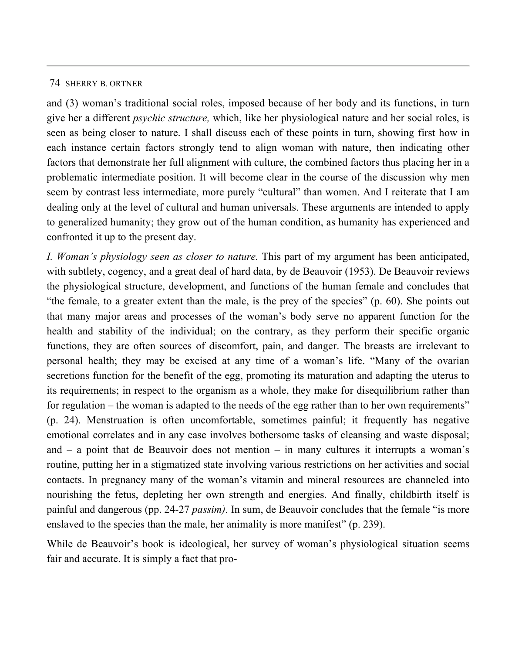and (3) woman's traditional social roles, imposed because of her body and its functions, in turn give her a different *psychic structure,* which, like her physiological nature and her social roles, is seen as being closer to nature. I shall discuss each of these points in turn, showing first how in each instance certain factors strongly tend to align woman with nature, then indicating other factors that demonstrate her full alignment with culture, the combined factors thus placing her in a problematic intermediate position. It will become clear in the course of the discussion why men seem by contrast less intermediate, more purely "cultural" than women. And I reiterate that I am dealing only at the level of cultural and human universals. These arguments are intended to apply to generalized humanity; they grow out of the human condition, as humanity has experienced and confronted it up to the present day.

*I. Woman's physiology seen as closer to nature.* This part of my argument has been anticipated, with subtlety, cogency, and a great deal of hard data, by de Beauvoir (1953). De Beauvoir reviews the physiological structure, development, and functions of the human female and concludes that "the female, to a greater extent than the male, is the prey of the species" (p. 60). She points out that many major areas and processes of the woman's body serve no apparent function for the health and stability of the individual; on the contrary, as they perform their specific organic functions, they are often sources of discomfort, pain, and danger. The breasts are irrelevant to personal health; they may be excised at any time of a woman's life. "Many of the ovarian secretions function for the benefit of the egg, promoting its maturation and adapting the uterus to its requirements; in respect to the organism as a whole, they make for disequilibrium rather than for regulation – the woman is adapted to the needs of the egg rather than to her own requirements" (p. 24). Menstruation is often uncomfortable, sometimes painful; it frequently has negative emotional correlates and in any case involves bothersome tasks of cleansing and waste disposal; and – a point that de Beauvoir does not mention – in many cultures it interrupts a woman's routine, putting her in a stigmatized state involving various restrictions on her activities and social contacts. In pregnancy many of the woman's vitamin and mineral resources are channeled into nourishing the fetus, depleting her own strength and energies. And finally, childbirth itself is painful and dangerous (pp. 24-27 *passim).* In sum, de Beauvoir concludes that the female "is more enslaved to the species than the male, her animality is more manifest" (p. 239).

While de Beauvoir's book is ideological, her survey of woman's physiological situation seems fair and accurate. It is simply a fact that pro-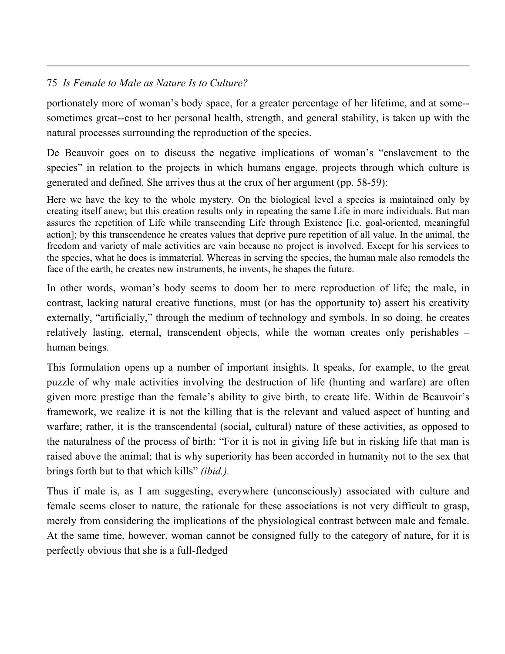portionately more of woman's body space, for a greater percentage of her lifetime, and at some- sometimes great--cost to her personal health, strength, and general stability, is taken up with the natural processes surrounding the reproduction of the species.

De Beauvoir goes on to discuss the negative implications of woman's "enslavement to the species" in relation to the projects in which humans engage, projects through which culture is generated and defined. She arrives thus at the crux of her argument (pp. 58-59):

Here we have the key to the whole mystery. On the biological level a species is maintained only by creating itself anew; but this creation results only in repeating the same Life in more individuals. But man assures the repetition of Life while transcending Life through Existence [i.e. goal-oriented, meaningful action]; by this transcendence he creates values that deprive pure repetition of all value. In the animal, the freedom and variety of male activities are vain because no project is involved. Except for his services to the species, what he does is immaterial. Whereas in serving the species, the human male also remodels the face of the earth, he creates new instruments, he invents, he shapes the future.

In other words, woman's body seems to doom her to mere reproduction of life; the male, in contrast, lacking natural creative functions, must (or has the opportunity to) assert his creativity externally, "artificially," through the medium of technology and symbols. In so doing, he creates relatively lasting, eternal, transcendent objects, while the woman creates only perishables – human beings.

This formulation opens up a number of important insights. It speaks, for example, to the great puzzle of why male activities involving the destruction of life (hunting and warfare) are often given more prestige than the female's ability to give birth, to create life. Within de Beauvoir's framework, we realize it is not the killing that is the relevant and valued aspect of hunting and warfare; rather, it is the transcendental (social, cultural) nature of these activities, as opposed to the naturalness of the process of birth: "For it is not in giving life but in risking life that man is raised above the animal; that is why superiority has been accorded in humanity not to the sex that brings forth but to that which kills" *(ibid.).* 

Thus if male is, as I am suggesting, everywhere (unconsciously) associated with culture and female seems closer to nature, the rationale for these associations is not very difficult to grasp, merely from considering the implications of the physiological contrast between male and female. At the same time, however, woman cannot be consigned fully to the category of nature, for it is perfectly obvious that she is a full-fledged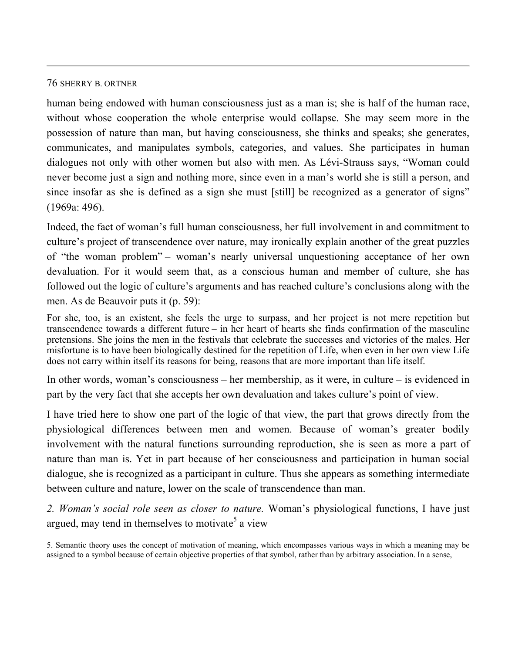human being endowed with human consciousness just as a man is; she is half of the human race, without whose cooperation the whole enterprise would collapse. She may seem more in the possession of nature than man, but having consciousness, she thinks and speaks; she generates, communicates, and manipulates symbols, categories, and values. She participates in human dialogues not only with other women but also with men. As Lévi-Strauss says, "Woman could never become just a sign and nothing more, since even in a man's world she is still a person, and since insofar as she is defined as a sign she must [still] be recognized as a generator of signs" (1969a: 496).

Indeed, the fact of woman's full human consciousness, her full involvement in and commitment to culture's project of transcendence over nature, may ironically explain another of the great puzzles of "the woman problem" – woman's nearly universal unquestioning acceptance of her own devaluation. For it would seem that, as a conscious human and member of culture, she has followed out the logic of culture's arguments and has reached culture's conclusions along with the men. As de Beauvoir puts it (p. 59):

For she, too, is an existent, she feels the urge to surpass, and her project is not mere repetition but transcendence towards a different future – in her heart of hearts she finds confirmation of the masculine pretensions. She joins the men in the festivals that celebrate the successes and victories of the males. Her misfortune is to have been biologically destined for the repetition of Life, when even in her own view Life does not carry within itself its reasons for being, reasons that are more important than life itself.

In other words, woman's consciousness – her membership, as it were, in culture – is evidenced in part by the very fact that she accepts her own devaluation and takes culture's point of view.

I have tried here to show one part of the logic of that view, the part that grows directly from the physiological differences between men and women. Because of woman's greater bodily involvement with the natural functions surrounding reproduction, she is seen as more a part of nature than man is. Yet in part because of her consciousness and participation in human social dialogue, she is recognized as a participant in culture. Thus she appears as something intermediate between culture and nature, lower on the scale of transcendence than man.

*2. Woman's social role seen as closer to nature.* Woman's physiological functions, I have just argued, may tend in themselves to motivate<sup>5</sup> a view

5. Semantic theory uses the concept of motivation of meaning, which encompasses various ways in which a meaning may be assigned to a symbol because of certain objective properties of that symbol, rather than by arbitrary association. In a sense,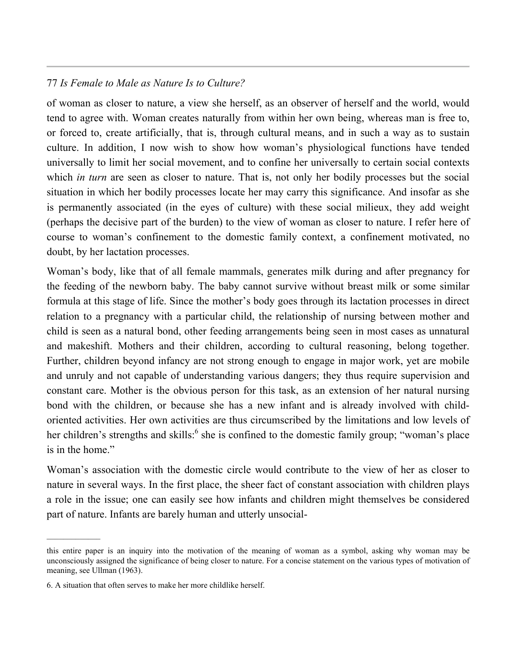of woman as closer to nature, a view she herself, as an observer of herself and the world, would tend to agree with. Woman creates naturally from within her own being, whereas man is free to, or forced to, create artificially, that is, through cultural means, and in such a way as to sustain culture. In addition, I now wish to show how woman's physiological functions have tended universally to limit her social movement, and to confine her universally to certain social contexts which *in turn* are seen as closer to nature. That is, not only her bodily processes but the social situation in which her bodily processes locate her may carry this significance. And insofar as she is permanently associated (in the eyes of culture) with these social milieux, they add weight (perhaps the decisive part of the burden) to the view of woman as closer to nature. I refer here of course to woman's confinement to the domestic family context, a confinement motivated, no doubt, by her lactation processes.

Woman's body, like that of all female mammals, generates milk during and after pregnancy for the feeding of the newborn baby. The baby cannot survive without breast milk or some similar formula at this stage of life. Since the mother's body goes through its lactation processes in direct relation to a pregnancy with a particular child, the relationship of nursing between mother and child is seen as a natural bond, other feeding arrangements being seen in most cases as unnatural and makeshift. Mothers and their children, according to cultural reasoning, belong together. Further, children beyond infancy are not strong enough to engage in major work, yet are mobile and unruly and not capable of understanding various dangers; they thus require supervision and constant care. Mother is the obvious person for this task, as an extension of her natural nursing bond with the children, or because she has a new infant and is already involved with childoriented activities. Her own activities are thus circumscribed by the limitations and low levels of her children's strengths and skills:<sup>6</sup> she is confined to the domestic family group; "woman's place is in the home."

Woman's association with the domestic circle would contribute to the view of her as closer to nature in several ways. In the first place, the sheer fact of constant association with children plays a role in the issue; one can easily see how infants and children might themselves be considered part of nature. Infants are barely human and utterly unsocial-

 $\frac{1}{2}$ 

this entire paper is an inquiry into the motivation of the meaning of woman as a symbol, asking why woman may be unconsciously assigned the significance of being closer to nature. For a concise statement on the various types of motivation of meaning, see Ullman (1963).

<sup>6.</sup> A situation that often serves to make her more childlike herself.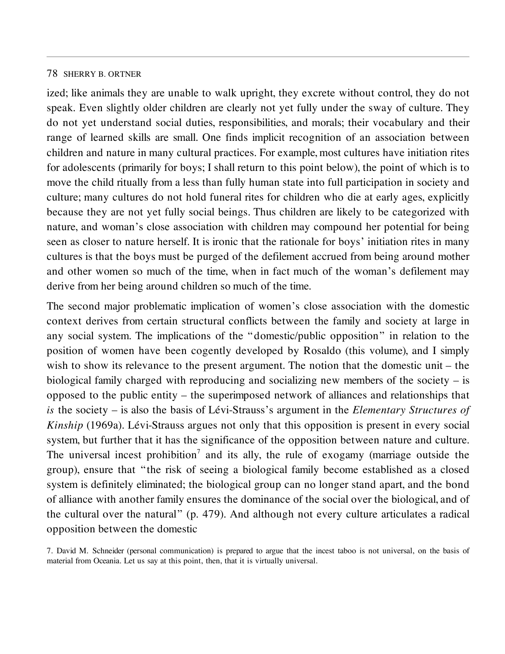ized; like animals they are unable to walk upright, they excrete without control, they do not speak. Even slightly older children are clearly not yet fully under the sway of culture. They do not yet understand social duties, responsibilities, and morals; their vocabulary and their range of learned skills are small. One finds implicit recognition of an association between children and nature in many cultural practices. For example, most cultures have initiation rites for adolescents (primarily for boys; I shall return to this point below), the point of which is to move the child ritually from a less than fully human state into full participation in society and culture; many cultures do not hold funeral rites for children who die at early ages, explicitly because they are not yet fully social beings. Thus children are likely to be categorized with nature, and woman's close association with children may compound her potential for being seen as closer to nature herself. It is ironic that the rationale for boys' initiation rites in many cultures is that the boys must be purged of the defilement accrued from being around mother and other women so much of the time, when in fact much of the woman's defilement may derive from her being around children so much of the time.

The second major problematic implication of women's close association with the domestic context derives from certain structural conflicts between the family and society at large in any social system. The implications of the "domestic/public opposition" in relation to the position of women have been cogently developed by Rosaldo (this volume), and I simply wish to show its relevance to the present argument. The notion that the domestic unit – the biological family charged with reproducing and socializing new members of the society – is opposed to the public entity – the superimposed network of alliances and relationships that *is* the society – is also the basis of Lévi-Strauss's argument in the *Elementary Structures of Kinship* (1969a). Lévi-Strauss argues not only that this opposition is present in every social system, but further that it has the significance of the opposition between nature and culture. The universal incest prohibition<sup>7</sup> and its ally, the rule of exogamy (marriage outside the group), ensure that "the risk of seeing a biological family become established as a closed system is definitely eliminated; the biological group can no longer stand apart, and the bond of alliance with another family ensures the dominance of the social over the biological, and of the cultural over the natural" (p. 479). And although not every culture articulates a radical opposition between the domestic

7. David M. Schneider (personal communication) is prepared to argue that the incest taboo is not universal, on the basis of material from Oceania. Let us say at this point, then, that it is virtually universal.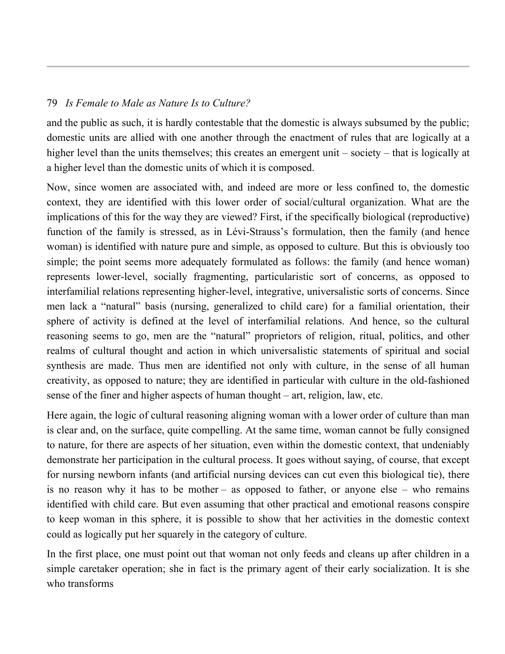and the public as such, it is hardly contestable that the domestic is always subsumed by the public; domestic units are allied with one another through the enactment of rules that are logically at a higher level than the units themselves; this creates an emergent unit – society – that is logically at a higher level than the domestic units of which it is composed.

Now, since women are associated with, and indeed are more or less confined to, the domestic context, they are identified with this lower order of social/cultural organization. What are the implications of this for the way they are viewed? First, if the specifically biological (reproductive) function of the family is stressed, as in Lévi-Strauss's formulation, then the family (and hence woman) is identified with nature pure and simple, as opposed to culture. But this is obviously too simple; the point seems more adequately formulated as follows: the family (and hence woman) represents lower-level, socially fragmenting, particularistic sort of concerns, as opposed to interfamilial relations representing higher-level, integrative, universalistic sorts of concerns. Since men lack a "natural" basis (nursing, generalized to child care) for a familial orientation, their sphere of activity is defined at the level of interfamilial relations. And hence, so the cultural reasoning seems to go, men are the "natural" proprietors of religion, ritual, politics, and other realms of cultural thought and action in which universalistic statements of spiritual and social synthesis are made. Thus men are identified not only with culture, in the sense of all human creativity, as opposed to nature; they are identified in particular with culture in the old-fashioned sense of the finer and higher aspects of human thought – art, religion, law, etc.

Here again, the logic of cultural reasoning aligning woman with a lower order of culture than man is clear and, on the surface, quite compelling. At the same time, woman cannot be fully consigned to nature, for there are aspects of her situation, even within the domestic context, that undeniably demonstrate her participation in the cultural process. It goes without saying, of course, that except for nursing newborn infants (and artificial nursing devices can cut even this biological tie), there is no reason why it has to be mother – as opposed to father, or anyone else – who remains identified with child care. But even assuming that other practical and emotional reasons conspire to keep woman in this sphere, it is possible to show that her activities in the domestic context could as logically put her squarely in the category of culture.

In the first place, one must point out that woman not only feeds and cleans up after children in a simple caretaker operation; she in fact is the primary agent of their early socialization. It is she who transforms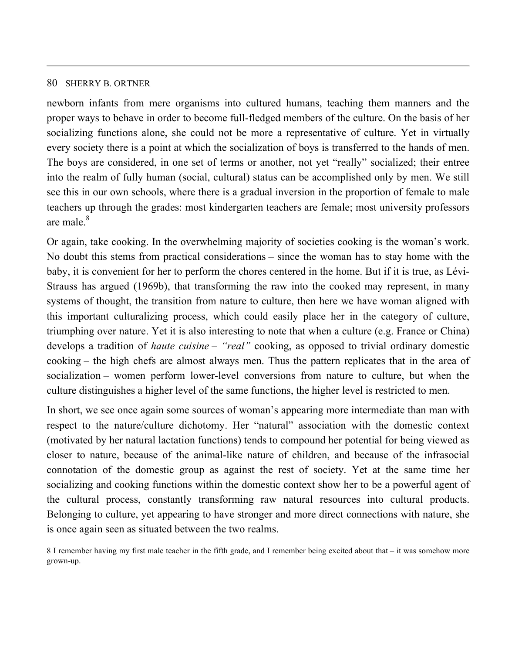newborn infants from mere organisms into cultured humans, teaching them manners and the proper ways to behave in order to become full-fledged members of the culture. On the basis of her socializing functions alone, she could not be more a representative of culture. Yet in virtually every society there is a point at which the socialization of boys is transferred to the hands of men. The boys are considered, in one set of terms or another, not yet "really" socialized; their entree into the realm of fully human (social, cultural) status can be accomplished only by men. We still see this in our own schools, where there is a gradual inversion in the proportion of female to male teachers up through the grades: most kindergarten teachers are female; most university professors are male $^8$ 

Or again, take cooking. In the overwhelming majority of societies cooking is the woman's work. No doubt this stems from practical considerations – since the woman has to stay home with the baby, it is convenient for her to perform the chores centered in the home. But if it is true, as Lévi-Strauss has argued (1969b), that transforming the raw into the cooked may represent, in many systems of thought, the transition from nature to culture, then here we have woman aligned with this important culturalizing process, which could easily place her in the category of culture, triumphing over nature. Yet it is also interesting to note that when a culture (e.g. France or China) develops a tradition of *haute cuisine – "real"* cooking, as opposed to trivial ordinary domestic cooking – the high chefs are almost always men. Thus the pattern replicates that in the area of socialization – women perform lower-level conversions from nature to culture, but when the culture distinguishes a higher level of the same functions, the higher level is restricted to men.

In short, we see once again some sources of woman's appearing more intermediate than man with respect to the nature/culture dichotomy. Her "natural" association with the domestic context (motivated by her natural lactation functions) tends to compound her potential for being viewed as closer to nature, because of the animal-like nature of children, and because of the infrasocial connotation of the domestic group as against the rest of society. Yet at the same time her socializing and cooking functions within the domestic context show her to be a powerful agent of the cultural process, constantly transforming raw natural resources into cultural products. Belonging to culture, yet appearing to have stronger and more direct connections with nature, she is once again seen as situated between the two realms.

8 I remember having my first male teacher in the fifth grade, and I remember being excited about that – it was somehow more grown-up.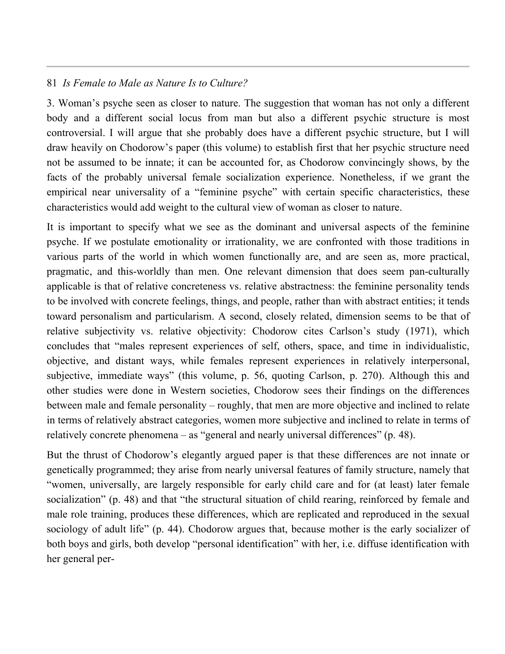3. Woman's psyche seen as closer to nature. The suggestion that woman has not only a different body and a different social locus from man but also a different psychic structure is most controversial. I will argue that she probably does have a different psychic structure, but I will draw heavily on Chodorow's paper (this volume) to establish first that her psychic structure need not be assumed to be innate; it can be accounted for, as Chodorow convincingly shows, by the facts of the probably universal female socialization experience. Nonetheless, if we grant the empirical near universality of a "feminine psyche" with certain specific characteristics, these characteristics would add weight to the cultural view of woman as closer to nature.

It is important to specify what we see as the dominant and universal aspects of the feminine psyche. If we postulate emotionality or irrationality, we are confronted with those traditions in various parts of the world in which women functionally are, and are seen as, more practical, pragmatic, and this-worldly than men. One relevant dimension that does seem pan-culturally applicable is that of relative concreteness vs. relative abstractness: the feminine personality tends to be involved with concrete feelings, things, and people, rather than with abstract entities; it tends toward personalism and particularism. A second, closely related, dimension seems to be that of relative subjectivity vs. relative objectivity: Chodorow cites Carlson's study (1971), which concludes that "males represent experiences of self, others, space, and time in individualistic, objective, and distant ways, while females represent experiences in relatively interpersonal, subjective, immediate ways" (this volume, p. 56, quoting Carlson, p. 270). Although this and other studies were done in Western societies, Chodorow sees their findings on the differences between male and female personality – roughly, that men are more objective and inclined to relate in terms of relatively abstract categories, women more subjective and inclined to relate in terms of relatively concrete phenomena – as "general and nearly universal differences" (p. 48).

But the thrust of Chodorow's elegantly argued paper is that these differences are not innate or genetically programmed; they arise from nearly universal features of family structure, namely that "women, universally, are largely responsible for early child care and for (at least) later female socialization" (p. 48) and that "the structural situation of child rearing, reinforced by female and male role training, produces these differences, which are replicated and reproduced in the sexual sociology of adult life" (p. 44). Chodorow argues that, because mother is the early socializer of both boys and girls, both develop "personal identification" with her, i.e. diffuse identification with her general per-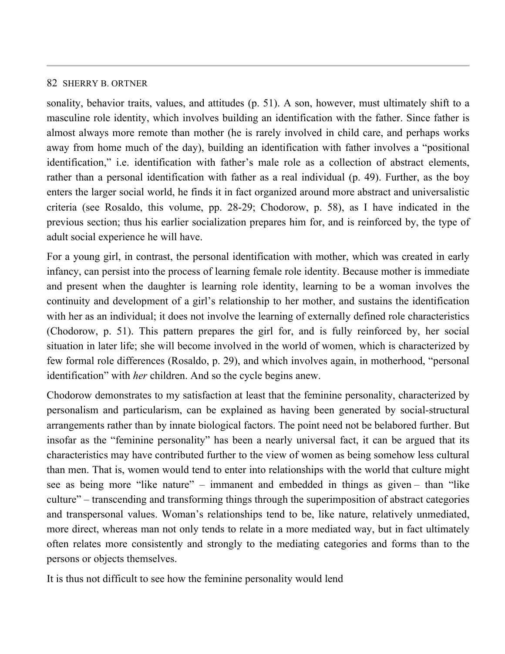sonality, behavior traits, values, and attitudes (p. 51). A son, however, must ultimately shift to a masculine role identity, which involves building an identification with the father. Since father is almost always more remote than mother (he is rarely involved in child care, and perhaps works away from home much of the day), building an identification with father involves a "positional identification," i.e. identification with father's male role as a collection of abstract elements, rather than a personal identification with father as a real individual (p. 49). Further, as the boy enters the larger social world, he finds it in fact organized around more abstract and universalistic criteria (see Rosaldo, this volume, pp. 28-29; Chodorow, p. 58), as I have indicated in the previous section; thus his earlier socialization prepares him for, and is reinforced by, the type of adult social experience he will have.

For a young girl, in contrast, the personal identification with mother, which was created in early infancy, can persist into the process of learning female role identity. Because mother is immediate and present when the daughter is learning role identity, learning to be a woman involves the continuity and development of a girl's relationship to her mother, and sustains the identification with her as an individual; it does not involve the learning of externally defined role characteristics (Chodorow, p. 51). This pattern prepares the girl for, and is fully reinforced by, her social situation in later life; she will become involved in the world of women, which is characterized by few formal role differences (Rosaldo, p. 29), and which involves again, in motherhood, "personal identification" with *her* children. And so the cycle begins anew.

Chodorow demonstrates to my satisfaction at least that the feminine personality, characterized by personalism and particularism, can be explained as having been generated by social-structural arrangements rather than by innate biological factors. The point need not be belabored further. But insofar as the "feminine personality" has been a nearly universal fact, it can be argued that its characteristics may have contributed further to the view of women as being somehow less cultural than men. That is, women would tend to enter into relationships with the world that culture might see as being more "like nature" – immanent and embedded in things as given – than "like culture" – transcending and transforming things through the superimposition of abstract categories and transpersonal values. Woman's relationships tend to be, like nature, relatively unmediated, more direct, whereas man not only tends to relate in a more mediated way, but in fact ultimately often relates more consistently and strongly to the mediating categories and forms than to the persons or objects themselves.

It is thus not difficult to see how the feminine personality would lend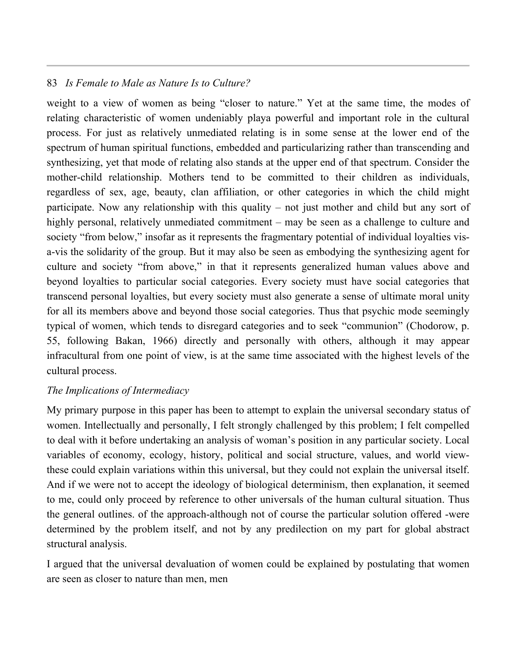weight to a view of women as being "closer to nature." Yet at the same time, the modes of relating characteristic of women undeniably playa powerful and important role in the cultural process. For just as relatively unmediated relating is in some sense at the lower end of the spectrum of human spiritual functions, embedded and particularizing rather than transcending and synthesizing, yet that mode of relating also stands at the upper end of that spectrum. Consider the mother-child relationship. Mothers tend to be committed to their children as individuals, regardless of sex, age, beauty, clan affiliation, or other categories in which the child might participate. Now any relationship with this quality – not just mother and child but any sort of highly personal, relatively unmediated commitment – may be seen as a challenge to culture and society "from below," insofar as it represents the fragmentary potential of individual loyalties visa-vis the solidarity of the group. But it may also be seen as embodying the synthesizing agent for culture and society "from above," in that it represents generalized human values above and beyond loyalties to particular social categories. Every society must have social categories that transcend personal loyalties, but every society must also generate a sense of ultimate moral unity for all its members above and beyond those social categories. Thus that psychic mode seemingly typical of women, which tends to disregard categories and to seek "communion" (Chodorow, p. 55, following Bakan, 1966) directly and personally with others, although it may appear infracultural from one point of view, is at the same time associated with the highest levels of the cultural process.

## *The Implications of Intermediacy*

My primary purpose in this paper has been to attempt to explain the universal secondary status of women. Intellectually and personally, I felt strongly challenged by this problem; I felt compelled to deal with it before undertaking an analysis of woman's position in any particular society. Local variables of economy, ecology, history, political and social structure, values, and world viewthese could explain variations within this universal, but they could not explain the universal itself. And if we were not to accept the ideology of biological determinism, then explanation, it seemed to me, could only proceed by reference to other universals of the human cultural situation. Thus the general outlines. of the approach-although not of course the particular solution offered -were determined by the problem itself, and not by any predilection on my part for global abstract structural analysis.

I argued that the universal devaluation of women could be explained by postulating that women are seen as closer to nature than men, men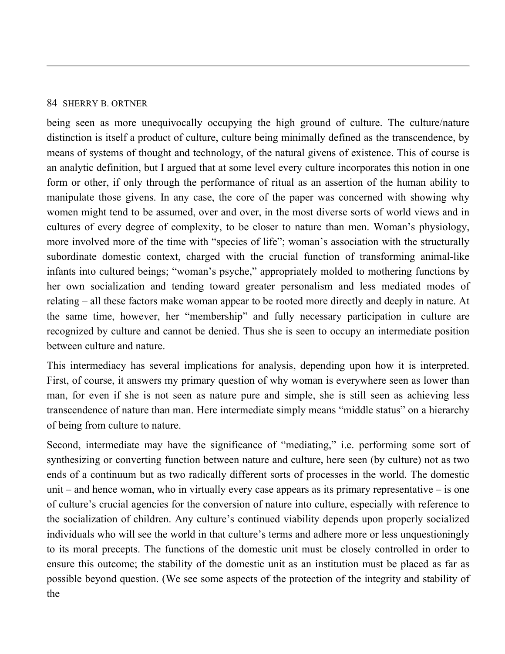being seen as more unequivocally occupying the high ground of culture. The culture/nature distinction is itself a product of culture, culture being minimally defined as the transcendence, by means of systems of thought and technology, of the natural givens of existence. This of course is an analytic definition, but I argued that at some level every culture incorporates this notion in one form or other, if only through the performance of ritual as an assertion of the human ability to manipulate those givens. In any case, the core of the paper was concerned with showing why women might tend to be assumed, over and over, in the most diverse sorts of world views and in cultures of every degree of complexity, to be closer to nature than men. Woman's physiology, more involved more of the time with "species of life"; woman's association with the structurally subordinate domestic context, charged with the crucial function of transforming animal-like infants into cultured beings; "woman's psyche," appropriately molded to mothering functions by her own socialization and tending toward greater personalism and less mediated modes of relating – all these factors make woman appear to be rooted more directly and deeply in nature. At the same time, however, her "membership" and fully necessary participation in culture are recognized by culture and cannot be denied. Thus she is seen to occupy an intermediate position between culture and nature.

This intermediacy has several implications for analysis, depending upon how it is interpreted. First, of course, it answers my primary question of why woman is everywhere seen as lower than man, for even if she is not seen as nature pure and simple, she is still seen as achieving less transcendence of nature than man. Here intermediate simply means "middle status" on a hierarchy of being from culture to nature.

Second, intermediate may have the significance of "mediating," i.e. performing some sort of synthesizing or converting function between nature and culture, here seen (by culture) not as two ends of a continuum but as two radically different sorts of processes in the world. The domestic unit – and hence woman, who in virtually every case appears as its primary representative – is one of culture's crucial agencies for the conversion of nature into culture, especially with reference to the socialization of children. Any culture's continued viability depends upon properly socialized individuals who will see the world in that culture's terms and adhere more or less unquestioningly to its moral precepts. The functions of the domestic unit must be closely controlled in order to ensure this outcome; the stability of the domestic unit as an institution must be placed as far as possible beyond question. (We see some aspects of the protection of the integrity and stability of the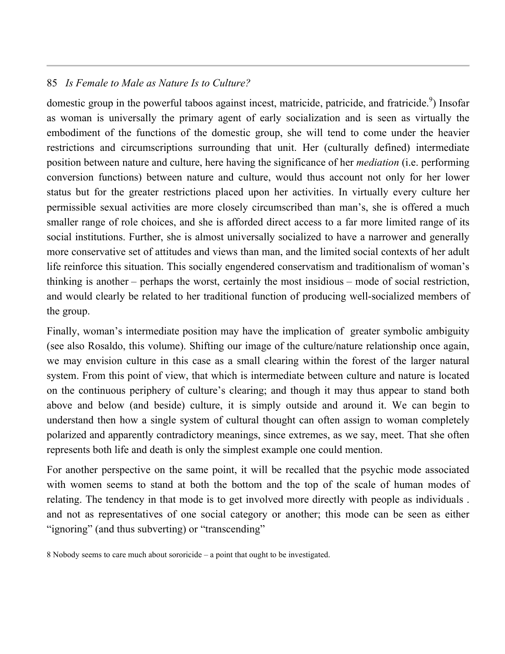domestic group in the powerful taboos against incest, matricide, patricide, and fratricide.<sup>9</sup>) Insofar as woman is universally the primary agent of early socialization and is seen as virtually the embodiment of the functions of the domestic group, she will tend to come under the heavier restrictions and circumscriptions surrounding that unit. Her (culturally defined) intermediate position between nature and culture, here having the significance of her *mediation* (i.e. performing conversion functions) between nature and culture, would thus account not only for her lower status but for the greater restrictions placed upon her activities. In virtually every culture her permissible sexual activities are more closely circumscribed than man's, she is offered a much smaller range of role choices, and she is afforded direct access to a far more limited range of its social institutions. Further, she is almost universally socialized to have a narrower and generally more conservative set of attitudes and views than man, and the limited social contexts of her adult life reinforce this situation. This socially engendered conservatism and traditionalism of woman's thinking is another – perhaps the worst, certainly the most insidious – mode of social restriction, and would clearly be related to her traditional function of producing well-socialized members of the group.

Finally, woman's intermediate position may have the implication of greater symbolic ambiguity (see also Rosaldo, this volume). Shifting our image of the culture/nature relationship once again, we may envision culture in this case as a small clearing within the forest of the larger natural system. From this point of view, that which is intermediate between culture and nature is located on the continuous periphery of culture's clearing; and though it may thus appear to stand both above and below (and beside) culture, it is simply outside and around it. We can begin to understand then how a single system of cultural thought can often assign to woman completely polarized and apparently contradictory meanings, since extremes, as we say, meet. That she often represents both life and death is only the simplest example one could mention.

For another perspective on the same point, it will be recalled that the psychic mode associated with women seems to stand at both the bottom and the top of the scale of human modes of relating. The tendency in that mode is to get involved more directly with people as individuals . and not as representatives of one social category or another; this mode can be seen as either "ignoring" (and thus subverting) or "transcending"

<sup>8</sup> Nobody seems to care much about sororicide – a point that ought to be investigated.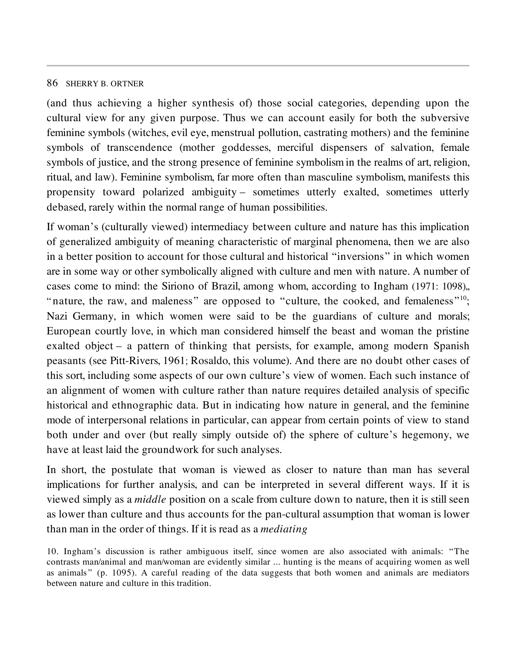(and thus achieving a higher synthesis of) those social categories, depending upon the cultural view for any given purpose. Thus we can account easily for both the subversive feminine symbols (witches, evil eye, menstrual pollution, castrating mothers) and the feminine symbols of transcendence (mother goddesses, merciful dispensers of salvation, female symbols of justice, and the strong presence of feminine symbolism in the realms of art, religion, ritual, and law). Feminine symbolism, far more often than masculine symbolism, manifests this propensity toward polarized ambiguity – sometimes utterly exalted, sometimes utterly debased, rarely within the normal range of human possibilities.

If woman's (culturally viewed) intermediacy between culture and nature has this implication of generalized ambiguity of meaning characteristic of marginal phenomena, then we are also in a better position to account for those cultural and historical "inversions" in which women are in some way or other symbolically aligned with culture and men with nature. A number of cases come to mind: the Siriono of Brazil, among whom, according to Ingham (1971: 1098),, "nature, the raw, and maleness" are opposed to "culture, the cooked, and femaleness"<sup>10</sup>; Nazi Germany, in which women were said to be the guardians of culture and morals; European courtly love, in which man considered himself the beast and woman the pristine exalted object – a pattern of thinking that persists, for example, among modern Spanish peasants (see Pitt-Rivers, 1961; Rosaldo, this volume). And there are no doubt other cases of this sort, including some aspects of our own culture's view of women. Each such instance of an alignment of women with culture rather than nature requires detailed analysis of specific historical and ethnographic data. But in indicating how nature in general, and the feminine mode of interpersonal relations in particular, can appear from certain points of view to stand both under and over (but really simply outside of) the sphere of culture's hegemony, we have at least laid the groundwork for such analyses.

In short, the postulate that woman is viewed as closer to nature than man has several implications for further analysis, and can be interpreted in several different ways. If it is viewed simply as a *middle* position on a scale from culture down to nature, then it is still seen as lower than culture and thus accounts for the pan-cultural assumption that woman is lower than man in the order of things. If it is read as a *mediating*

<sup>10.</sup> Ingham's discussion is rather ambiguous itself, since women are also associated with animals: "The contrasts man/animal and man/woman are evidently similar ... hunting is the means of acquiring women as well as animals " (p. 1095). A careful reading of the data suggests that both women and animals are mediators between nature and culture in this tradition.